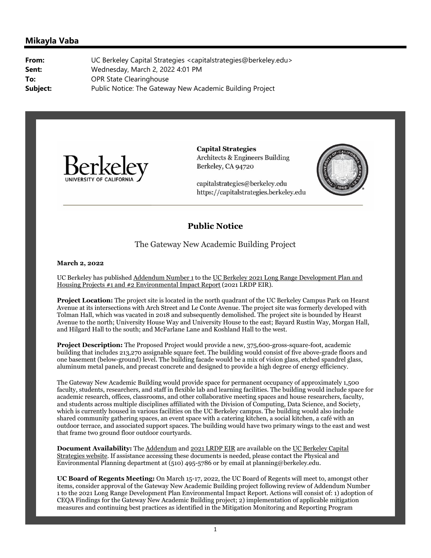## **Mikayla Vaba**

**From:** UC Berkeley Capital Strategies <capitalstrategies@berkeley.edu> **Sent:** Wednesday, March 2, 2022 4:01 PM **To:** OPR State Clearinghouse **Subject:** Public Notice: The Gateway New Academic Building Project



**Capital Strategies Architects & Engineers Building** Berkeley, CA 94720

capitalstrategies@berkeley.edu https://capitalstrategies.berkeley.edu



## **Public Notice**

The Gateway New Academic Building Project

**March 2, 2022**

UC Berkeley has published Addendum Number 1 to the UC Berkeley 2021 Long Range Development Plan and Housing Projects #1 and #2 Environmental Impact Report (2021 LRDP EIR).

**Project Location:** The project site is located in the north quadrant of the UC Berkeley Campus Park on Hearst Avenue at its intersections with Arch Street and Le Conte Avenue. The project site was formerly developed with Tolman Hall, which was vacated in 2018 and subsequently demolished. The project site is bounded by Hearst Avenue to the north; University House Way and University House to the east; Bayard Rustin Way, Morgan Hall, and Hilgard Hall to the south; and McFarlane Lane and Koshland Hall to the west.

**Project Description:** The Proposed Project would provide a new, 375,600-gross-square-foot, academic building that includes 213,270 assignable square feet. The building would consist of five above-grade floors and one basement (below-ground) level. The building facade would be a mix of vision glass, etched spandrel glass, aluminum metal panels, and precast concrete and designed to provide a high degree of energy efficiency.

The Gateway New Academic Building would provide space for permanent occupancy of approximately 1,500 faculty, students, researchers, and staff in flexible lab and learning facilities. The building would include space for academic research, offices, classrooms, and other collaborative meeting spaces and house researchers, faculty, and students across multiple disciplines affiliated with the Division of Computing, Data Science, and Society, which is currently housed in various facilities on the UC Berkeley campus. The building would also include shared community gathering spaces, an event space with a catering kitchen, a social kitchen, a café with an outdoor terrace, and associated support spaces. The building would have two primary wings to the east and west that frame two ground floor outdoor courtyards.

**Document Availability:** The Addendum and 2021 LRDP EIR are available on the UC Berkeley Capital Strategies website. If assistance accessing these documents is needed, please contact the Physical and Environmental Planning department at (510) 495-5786 or by email at planning@berkeley.edu.

**UC Board of Regents Meeting:** On March 15-17, 2022, the UC Board of Regents will meet to, amongst other items, consider approval of the Gateway New Academic Building project following review of Addendum Number 1 to the 2021 Long Range Development Plan Environmental Impact Report. Actions will consist of: 1) adoption of CEQA Findings for the Gateway New Academic Building project; 2) implementation of applicable mitigation measures and continuing best practices as identified in the Mitigation Monitoring and Reporting Program